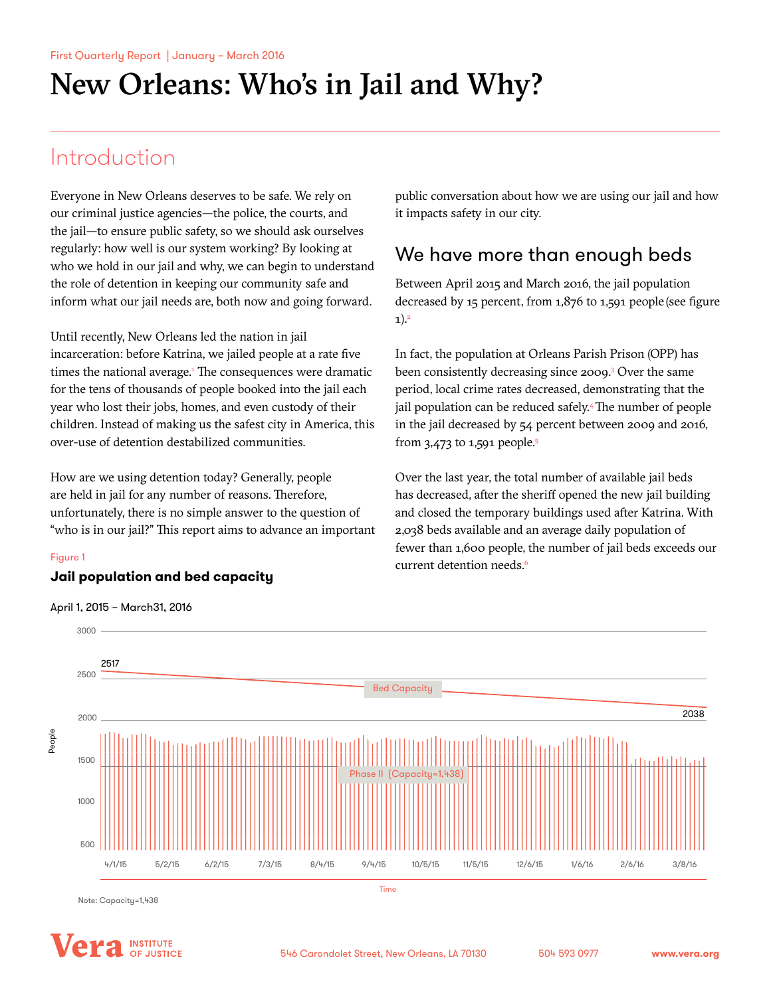# Introduction

Everyone in New Orleans deserves to be safe. We rely on our criminal justice agencies—the police, the courts, and the jail—to ensure public safety, so we should ask ourselves regularly: how well is our system working? By looking at who we hold in our jail and why, we can begin to understand the role of detention in keeping our community safe and inform what our jail needs are, both now and going forward.

Until recently, New Orleans led the nation in jail incarceration: before Katrina, we jailed people at a rate five times the national average.<sup>1</sup> The consequences were dramatic for the tens of thousands of people booked into the jail each year who lost their jobs, homes, and even custody of their children. Instead of making us the safest city in America, this over-use of detention destabilized communities.

How are we using detention today? Generally, people are held in jail for any number of reasons. Therefore, unfortunately, there is no simple answer to the question of "who is in our jail?" This report aims to advance an important

## Figure 1 Figure 1

## **Jail population and bed capacity Jail population and bed capacity**

April 1, 2015 - March 31, 2016 April 1, 2015 – March31, 2016

public conversation about how we are using our jail and how it impacts safety in our city.

## We have more than enough beds

Between April 2015 and March 2016, the jail population decreased by 15 percent, from 1,876 to 1,591 people (see figure  $1)^2$ 

In fact, the population at Orleans Parish Prison (OPP) has been consistently decreasing since 2009.<sup>3</sup> Over the same period, local crime rates decreased, demonstrating that the jail population can be reduced safely.<sup>4</sup> The number of people in the jail decreased by 54 percent between 2009 and 2016, from 3,473 to 1,591 people.<sup>5</sup>

Over the last year, the total number of available jail beds has decreased, after the sheriff opened the new jail building and closed the temporary buildings used after Katrina. With 2,038 beds available and an average daily population of fewer than 1,600 people, the number of jail beds exceeds our current detention needs.<sup>6</sup>



Note: Capacity=1,438

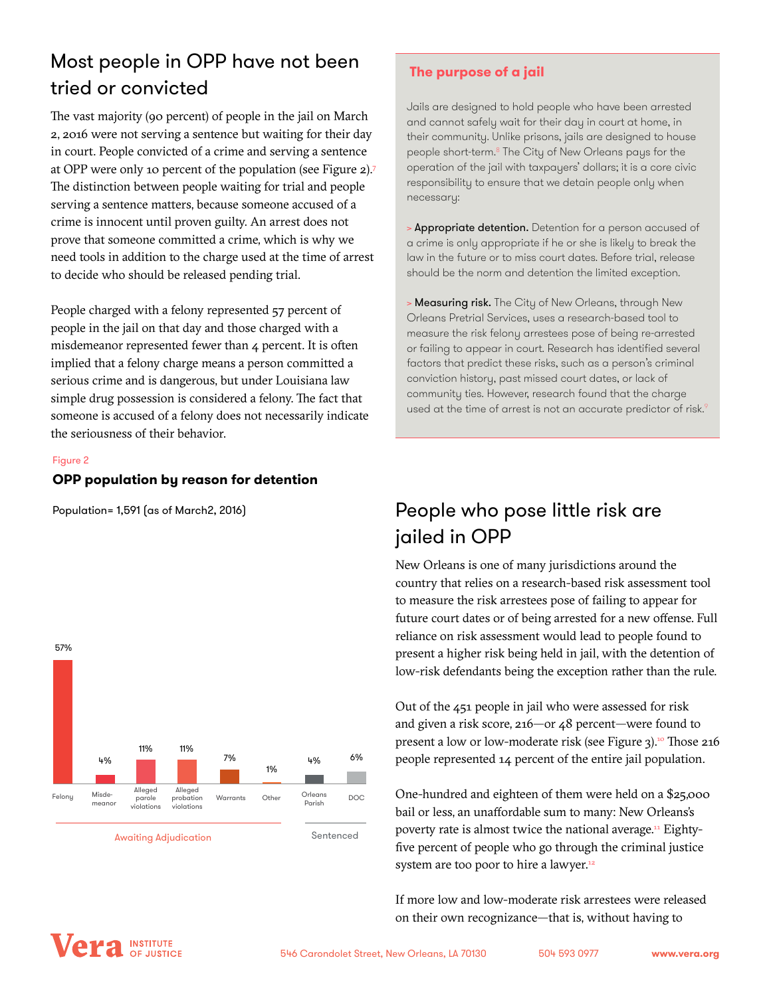# Most people in OPP have not been tried or convicted

The vast majority (90 percent) of people in the jail on March 2, 2016 were not serving a sentence but waiting for their day in court. People convicted of a crime and serving a sentence at OPP were only 10 percent of the population (see Figure 2).<sup>7</sup> The distinction between people waiting for trial and people serving a sentence matters, because someone accused of a crime is innocent until proven guilty. An arrest does not prove that someone committed a crime, which is why we need tools in addition to the charge used at the time of arrest to decide who should be released pending trial.

People charged with a felony represented 57 percent of people in the jail on that day and those charged with a misdemeanor represented fewer than 4 percent. It is often implied that a felony charge means a person committed a serious crime and is dangerous, but under Louisiana law simple drug possession is considered a felony. The fact that someone is accused of a felony does not necessarily indicate the seriousness of their behavior.

#### Figure 2 Figure 2

#### **OPP population by reason for detention OPP population by reason for detention**

Population= 1,591 (as of March 2, 2016) Population= 1,591 (as of March2, 2016)



#### **The purpose of a jail**

Jails are designed to hold people who have been arrested and cannot safely wait for their day in court at home, in their community. Unlike prisons, jails are designed to house people short-term.8 The City of New Orleans pays for the operation of the jail with taxpayers' dollars; it is a core civic responsibility to ensure that we detain people only when necessary:

> Appropriate detention. Detention for a person accused of a crime is only appropriate if he or she is likely to break the law in the future or to miss court dates. Before trial, release should be the norm and detention the limited exception.

> Measuring risk. The City of New Orleans, through New Orleans Pretrial Services, uses a research-based tool to measure the risk felony arrestees pose of being re-arrested or failing to appear in court. Research has identified several factors that predict these risks, such as a person's criminal conviction history, past missed court dates, or lack of community ties. However, research found that the charge used at the time of arrest is not an accurate predictor of risk.<sup>9</sup>

# People who pose little risk are jailed in OPP

New Orleans is one of many jurisdictions around the country that relies on a research-based risk assessment tool to measure the risk arrestees pose of failing to appear for future court dates or of being arrested for a new offense. Full reliance on risk assessment would lead to people found to present a higher risk being held in jail, with the detention of low-risk defendants being the exception rather than the rule.

Out of the 451 people in jail who were assessed for risk and given a risk score, 216—or 48 percent—were found to present a low or low-moderate risk (see Figure 3).<sup>10</sup> Those 216 people represented 14 percent of the entire jail population.

One-hundred and eighteen of them were held on a \$25,000 bail or less, an unaffordable sum to many: New Orleans's poverty rate is almost twice the national average.<sup>11</sup> Eightyfive percent of people who go through the criminal justice system are too poor to hire a lawyer.<sup>12</sup>

If more low and low-moderate risk arrestees were released on their own recognizance—that is, without having to

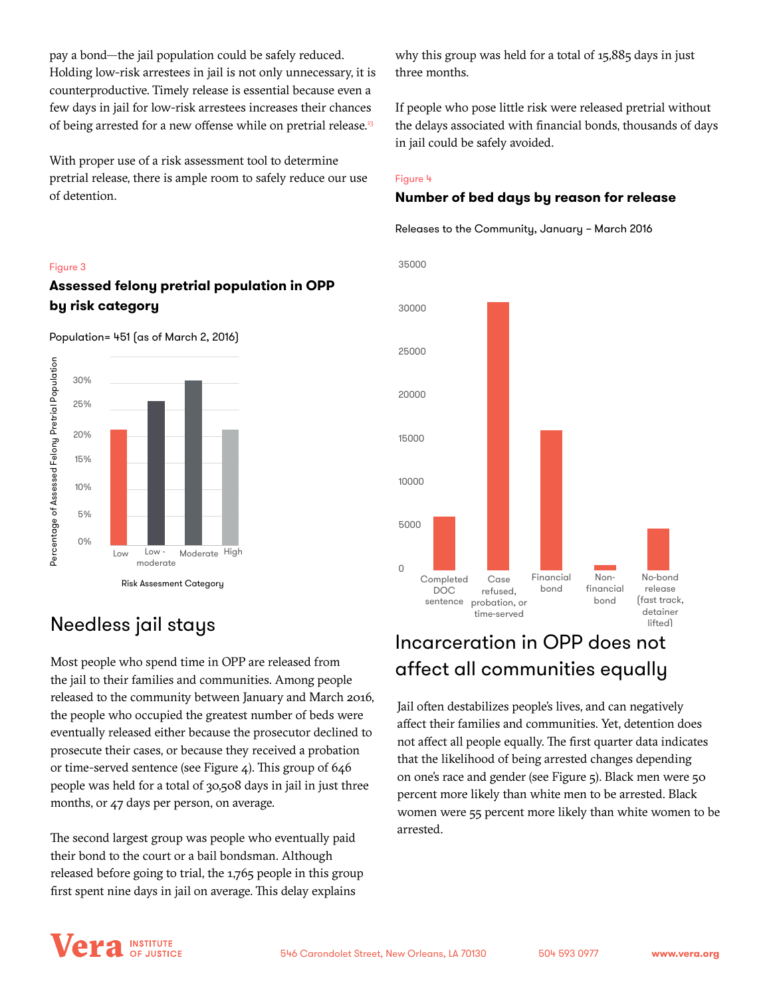pay a bond—the jail population could be safely reduced. Holding low-risk arrestees in jail is not only unnecessary, it is counterproductive. Timely release is essential because even a few days in jail for low-risk arrestees increases their chances of being arrested for a new offense while on pretrial release.<sup>13</sup>

With proper use of a risk assessment tool to determine pretrial release, there is ample room to safely reduce our use of detention.

## Figure 3 Figure 3

#### **Assessed felony prediction in OPP**  $\alpha$ **by risk category Assessed felony pretrial population in OPP by risk category**



Population= 451 (as of March 2, 2016)

## Needless jail stays

Most people who spend time in OPP are released from the jail to their families and communities. Among people released to the community between January and March 2016, the people who occupied the greatest number of beds were eventually released either because the prosecutor declined to prosecute their cases, or because they received a probation or time-served sentence (see Figure 4). This group of 646 people was held for a total of 30,508 days in jail in just three months, or 47 days per person, on average.

The second largest group was people who eventually paid their bond to the court or a bail bondsman. Although released before going to trial, the 1,765 people in this group first spent nine days in jail on average. This delay explains

why this group was held for a total of 15,885 days in just three months.

If people who pose little risk were released pretrial without the delays associated with financial bonds, thousands of days in jail could be safely avoided.

### Figure 4 Figure 4

## **Number of bed days by reason for release Number of bed days by reason for release**

Releases to the Community, January – March 2016 Releases to the Community, January – March 2016



# Incarceration in OPP does not affect all communities equally

Jail often destabilizes people's lives, and can negatively affect their families and communities. Yet, detention does not affect all people equally. The first quarter data indicates that the likelihood of being arrested changes depending on one's race and gender (see Figure 5). Black men were 50 percent more likely than white men to be arrested. Black women were 55 percent more likely than white women to be arrested.

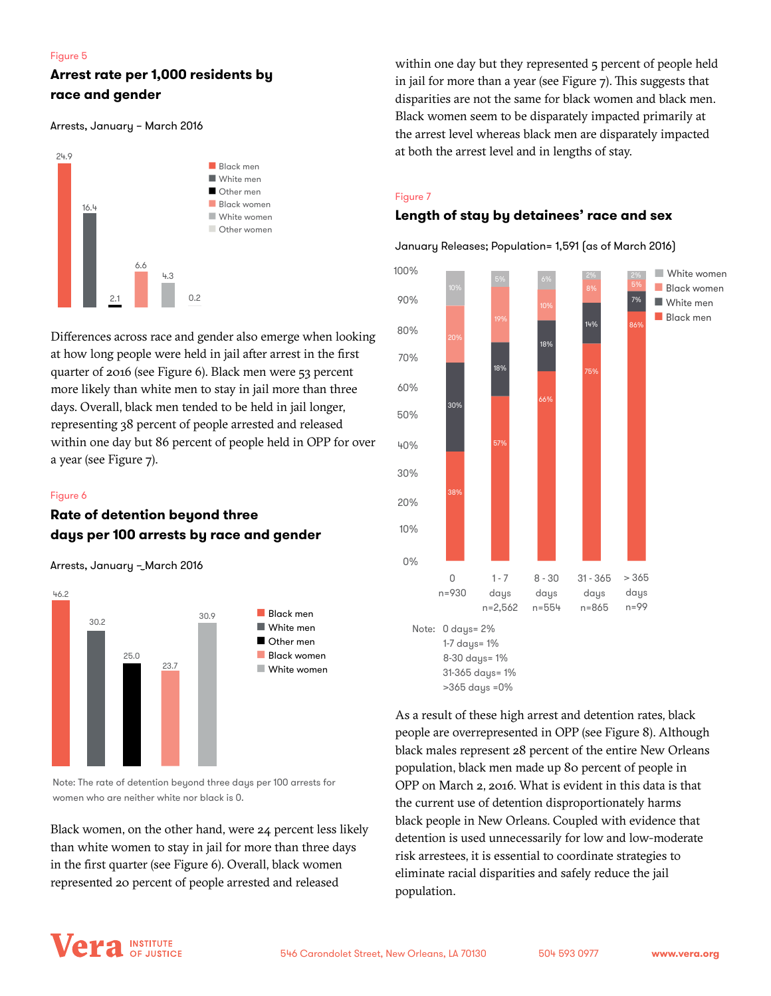#### Figure 5 Figure 5

## **Arrest rate per 1,000 residents by Arrest rate per 1,000 residents by race and gender race and gender**

Arrests, January – March 2016 Arrests, January – March 2016



Differences across race and gender also emerge when looking at how long people were held in jail after arrest in the first quarter of 2016 (see Figure 6). Black men were 53 percent more likely than white men to stay in jail more than three days. Overall, black men tended to be held in jail longer, representing 38 percent of people arrested and released within one day but 86 percent of people held in OPP for over a year (see Figure 7).

#### Figure 6 Figure 6

## **Rate of detention beyond three Rate of detention beyond three days per 100 arrests by race and gender days per 100 arrests by race and gender**

Arrests, January – March 2016 Arrests, January – March 2016



Note: The rate of detention beyond three days per 100 arrests for women who are neither white nor black is 0.

Black women, on the other hand, were 24 percent less likely than white women to stay in jail for more than three days in the first quarter (see Figure 6). Overall, black women represented 20 percent of people arrested and released

within one day but they represented 5 percent of people held in jail for more than a year (see Figure 7). This suggests that disparities are not the same for black women and black men. Black women seem to be disparately impacted primarily at the arrest level whereas black men are disparately impacted at both the arrest level and in lengths of stay.

## Figure 7 Figure 7

# **Length of stay by detainees' race and sex Length of stay by detainees' race and sex**

January Releases; Population= 1,591 (as of March 2016) January Releases; Population= 1,591 (as of March 2016)



>365 days =0%

As a result of these high arrest and detention rates, black people are overrepresented in OPP (see Figure 8). Although black males represent 28 percent of the entire New Orleans population, black men made up 80 percent of people in OPP on March 2, 2016. What is evident in this data is that the current use of detention disproportionately harms black people in New Orleans. Coupled with evidence that detention is used unnecessarily for low and low-moderate risk arrestees, it is essential to coordinate strategies to eliminate racial disparities and safely reduce the jail population.

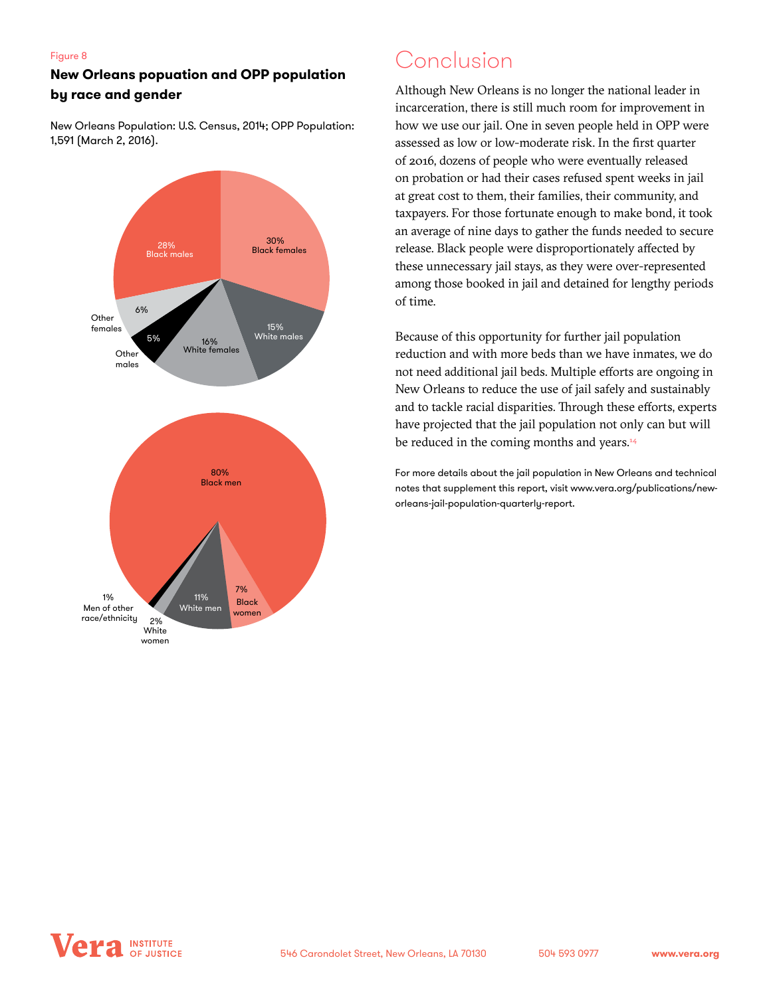#### Figure 8

# Figure 8<br>**New Orleans popuation and OPP population** CONClUSION **by race and gender by race and gender**

New Orleans Population: U.S. Census, 2014; OPP Population: New Orleans Population: U.S. Census, 2014; OPP Population: 1,591 (March 2, 2016). 1,591 (March 2, 2016).



Although New Orleans is no longer the national leader in incarceration, there is still much room for improvement in how we use our jail. One in seven people held in OPP were assessed as low or low-moderate risk. In the first quarter of 2016, dozens of people who were eventually released on probation or had their cases refused spent weeks in jail at great cost to them, their families, their community, and taxpayers. For those fortunate enough to make bond, it took an average of nine days to gather the funds needed to secure release. Black people were disproportionately affected by these unnecessary jail stays, as they were over-represented among those booked in jail and detained for lengthy periods of time.

Because of this opportunity for further jail population reduction and with more beds than we have inmates, we do not need additional jail beds. Multiple efforts are ongoing in New Orleans to reduce the use of jail safely and sustainably and to tackle racial disparities. Through these efforts, experts have projected that the jail population not only can but will be reduced in the coming months and years.<sup>14</sup>

For more details about the jail population in New Orleans and technical notes that supplement this report, visit www.vera.org/publications/neworleans-jail-population-quarterly-report.